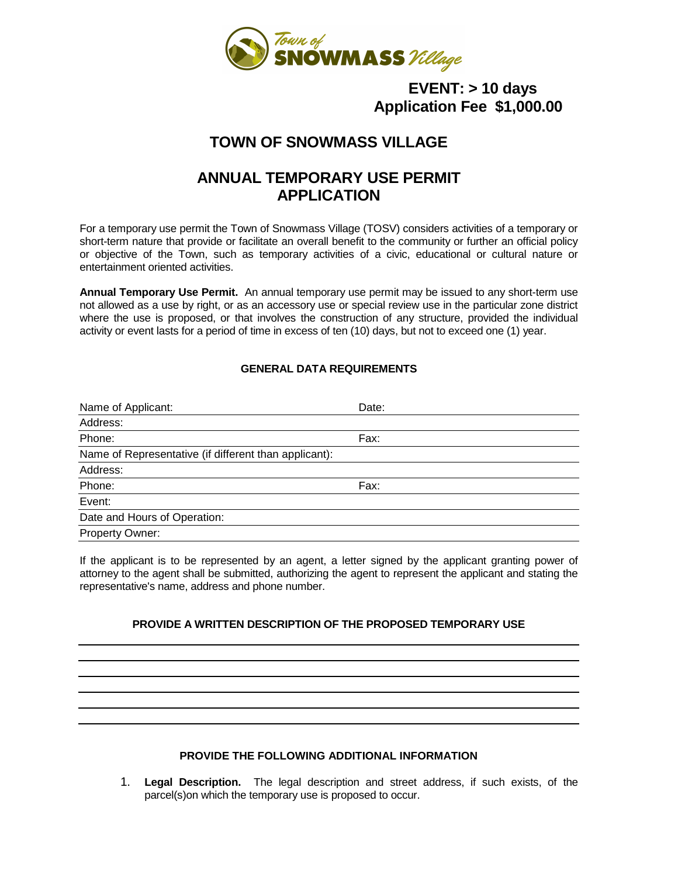

## **EVENT: > 10 days Application Fee \$1,000.00**

# **TOWN OF SNOWMASS VILLAGE**

# **ANNUAL TEMPORARY USE PERMIT APPLICATION**

For a temporary use permit the Town of Snowmass Village (TOSV) considers activities of a temporary or short-term nature that provide or facilitate an overall benefit to the community or further an official policy or objective of the Town, such as temporary activities of a civic, educational or cultural nature or entertainment oriented activities.

**Annual Temporary Use Permit.** An annual temporary use permit may be issued to any short-term use not allowed as a use by right, or as an accessory use or special review use in the particular zone district where the use is proposed, or that involves the construction of any structure, provided the individual activity or event lasts for a period of time in excess of ten (10) days, but not to exceed one (1) year.

## **GENERAL DATA REQUIREMENTS**

| Name of Applicant:                                    | Date: |
|-------------------------------------------------------|-------|
| Address:                                              |       |
| Phone:                                                | Fax:  |
| Name of Representative (if different than applicant): |       |
| Address:                                              |       |
| Phone:                                                | Fax:  |
| Event:                                                |       |
| Date and Hours of Operation:                          |       |
| Property Owner:                                       |       |

If the applicant is to be represented by an agent, a letter signed by the applicant granting power of attorney to the agent shall be submitted, authorizing the agent to represent the applicant and stating the representative's name, address and phone number.

## **PROVIDE A WRITTEN DESCRIPTION OF THE PROPOSED TEMPORARY USE**

#### **PROVIDE THE FOLLOWING ADDITIONAL INFORMATION**

1. **Legal Description.** The legal description and street address, if such exists, of the parcel(s)on which the temporary use is proposed to occur.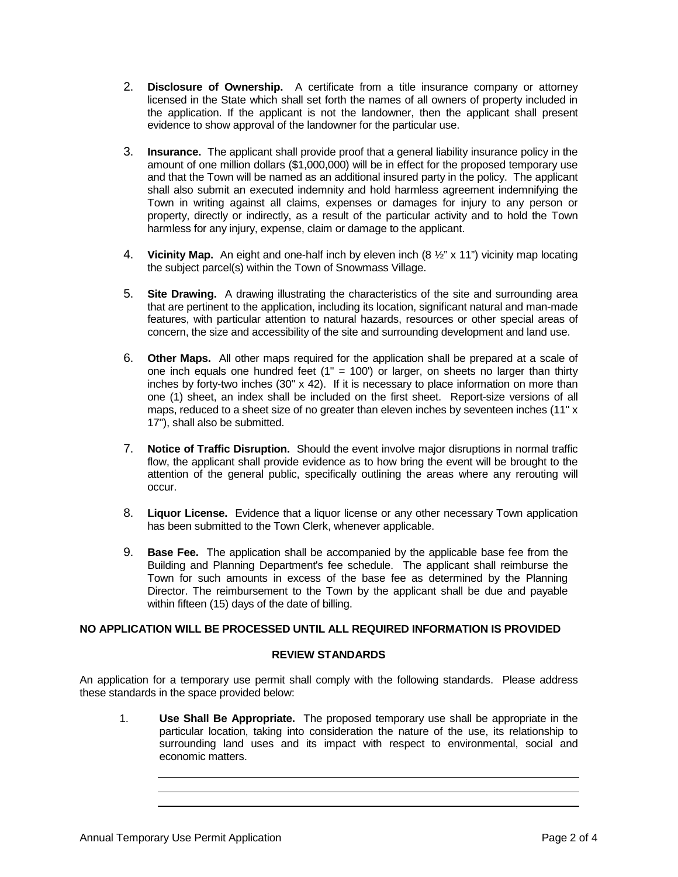- 2. **Disclosure of Ownership.** A certificate from a title insurance company or attorney licensed in the State which shall set forth the names of all owners of property included in the application. If the applicant is not the landowner, then the applicant shall present evidence to show approval of the landowner for the particular use.
- 3. **Insurance.** The applicant shall provide proof that a general liability insurance policy in the amount of one million dollars (\$1,000,000) will be in effect for the proposed temporary use and that the Town will be named as an additional insured party in the policy. The applicant shall also submit an executed indemnity and hold harmless agreement indemnifying the Town in writing against all claims, expenses or damages for injury to any person or property, directly or indirectly, as a result of the particular activity and to hold the Town harmless for any injury, expense, claim or damage to the applicant.
- 4. **Vicinity Map.** An eight and one-half inch by eleven inch (8 ½" x 11") vicinity map locating the subject parcel(s) within the Town of Snowmass Village.
- 5. **Site Drawing.** A drawing illustrating the characteristics of the site and surrounding area that are pertinent to the application, including its location, significant natural and man-made features, with particular attention to natural hazards, resources or other special areas of concern, the size and accessibility of the site and surrounding development and land use.
- 6. **Other Maps.** All other maps required for the application shall be prepared at a scale of one inch equals one hundred feet  $(1" = 100')$  or larger, on sheets no larger than thirty inches by forty-two inches (30" x 42). If it is necessary to place information on more than one (1) sheet, an index shall be included on the first sheet. Report-size versions of all maps, reduced to a sheet size of no greater than eleven inches by seventeen inches (11" x 17"), shall also be submitted.
- 7. **Notice of Traffic Disruption.** Should the event involve major disruptions in normal traffic flow, the applicant shall provide evidence as to how bring the event will be brought to the attention of the general public, specifically outlining the areas where any rerouting will occur.
- 8. **Liquor License.** Evidence that a liquor license or any other necessary Town application has been submitted to the Town Clerk, whenever applicable.
- 9. **Base Fee.** The application shall be accompanied by the applicable base fee from the Building and Planning Department's fee schedule. The applicant shall reimburse the Town for such amounts in excess of the base fee as determined by the Planning Director. The reimbursement to the Town by the applicant shall be due and payable within fifteen (15) days of the date of billing.

#### **NO APPLICATION WILL BE PROCESSED UNTIL ALL REQUIRED INFORMATION IS PROVIDED**

#### **REVIEW STANDARDS**

An application for a temporary use permit shall comply with the following standards. Please address these standards in the space provided below:

1. **Use Shall Be Appropriate.** The proposed temporary use shall be appropriate in the particular location, taking into consideration the nature of the use, its relationship to surrounding land uses and its impact with respect to environmental, social and economic matters.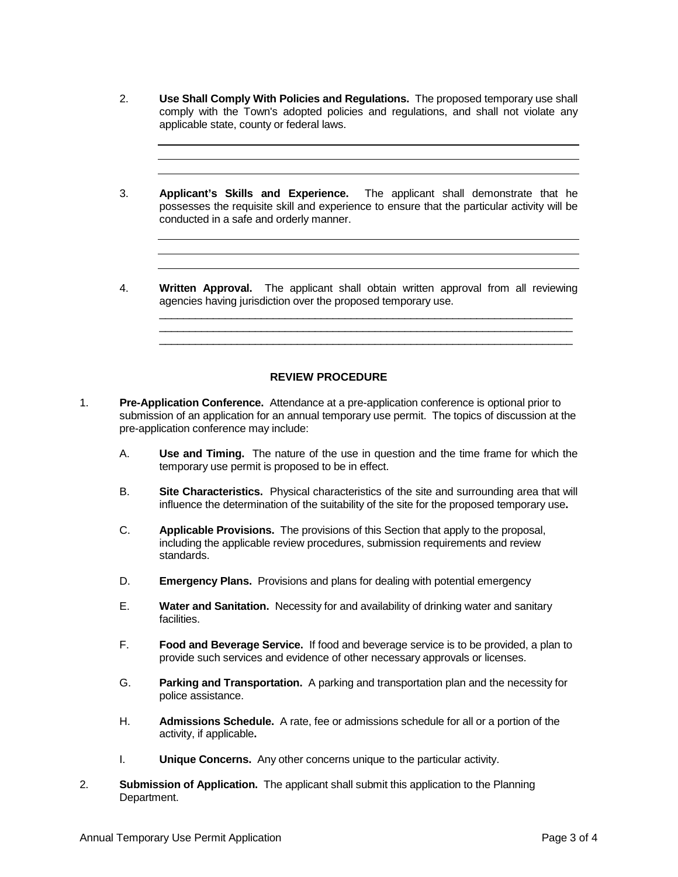- 2. **Use Shall Comply With Policies and Regulations.** The proposed temporary use shall comply with the Town's adopted policies and regulations, and shall not violate any applicable state, county or federal laws.
- 3. **Applicant's Skills and Experience.** The applicant shall demonstrate that he possesses the requisite skill and experience to ensure that the particular activity will be conducted in a safe and orderly manner.
- 4. **Written Approval.** The applicant shall obtain written approval from all reviewing agencies having jurisdiction over the proposed temporary use.

\_\_\_\_\_\_\_\_\_\_\_\_\_\_\_\_\_\_\_\_\_\_\_\_\_\_\_\_\_\_\_\_\_\_\_\_\_\_\_\_\_\_\_\_\_\_\_\_\_\_\_\_\_\_\_\_\_\_\_\_\_\_\_\_\_\_\_\_\_ \_\_\_\_\_\_\_\_\_\_\_\_\_\_\_\_\_\_\_\_\_\_\_\_\_\_\_\_\_\_\_\_\_\_\_\_\_\_\_\_\_\_\_\_\_\_\_\_\_\_\_\_\_\_\_\_\_\_\_\_\_\_\_\_\_\_\_\_\_ \_\_\_\_\_\_\_\_\_\_\_\_\_\_\_\_\_\_\_\_\_\_\_\_\_\_\_\_\_\_\_\_\_\_\_\_\_\_\_\_\_\_\_\_\_\_\_\_\_\_\_\_\_\_\_\_\_\_\_\_\_\_\_\_\_\_\_\_\_

#### **REVIEW PROCEDURE**

- 1. **Pre-Application Conference.** Attendance at a pre-application conference is optional prior to submission of an application for an annual temporary use permit. The topics of discussion at the pre-application conference may include:
	- A. **Use and Timing.** The nature of the use in question and the time frame for which the temporary use permit is proposed to be in effect.
	- B. **Site Characteristics.** Physical characteristics of the site and surrounding area that will influence the determination of the suitability of the site for the proposed temporary use**.**
	- C. **Applicable Provisions.** The provisions of this Section that apply to the proposal, including the applicable review procedures, submission requirements and review standards.
	- D. **Emergency Plans.** Provisions and plans for dealing with potential emergency
	- E. **Water and Sanitation.** Necessity for and availability of drinking water and sanitary facilities.
	- F. **Food and Beverage Service.** If food and beverage service is to be provided, a plan to provide such services and evidence of other necessary approvals or licenses.
	- G. **Parking and Transportation.** A parking and transportation plan and the necessity for police assistance.
	- H. **Admissions Schedule.** A rate, fee or admissions schedule for all or a portion of the activity, if applicable**.**
	- I. **Unique Concerns.** Any other concerns unique to the particular activity.
- 2. **Submission of Application.** The applicant shall submit this application to the Planning Department.